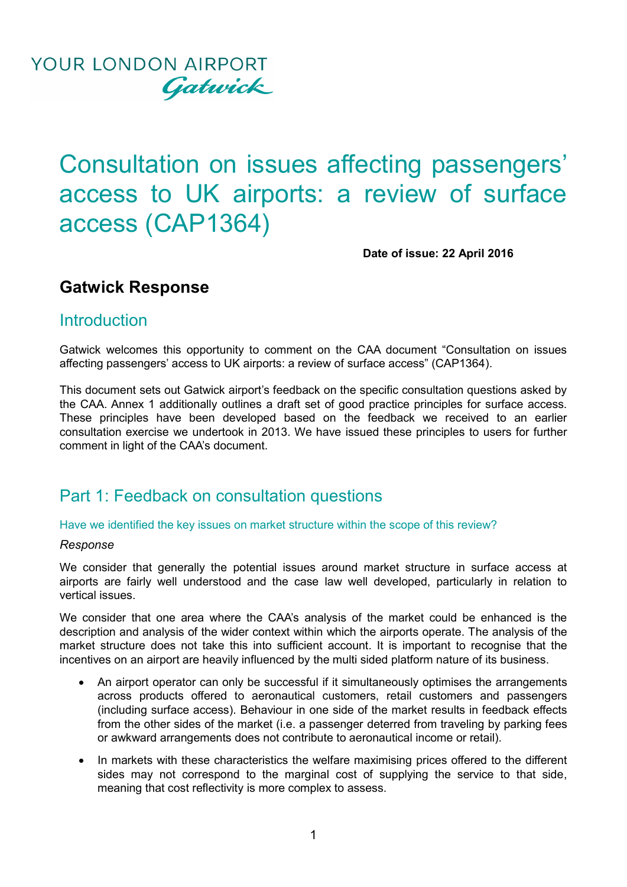

# Consultation on issues affecting passengers' access to UK airports: a review of surface access (CAP1364)

**Date of issue: 22 April 2016**

### **Gatwick Response**

### **Introduction**

Gatwick welcomes this opportunity to comment on the CAA document "Consultation on issues affecting passengers' access to UK airports: a review of surface access" (CAP1364).

This document sets out Gatwick airport's feedback on the specific consultation questions asked by the CAA. Annex 1 additionally outlines a draft set of good practice principles for surface access. These principles have been developed based on the feedback we received to an earlier consultation exercise we undertook in 2013. We have issued these principles to users for further comment in light of the CAA's document.

### Part 1: Feedback on consultation questions

Have we identified the key issues on market structure within the scope of this review?

#### *Response*

We consider that generally the potential issues around market structure in surface access at airports are fairly well understood and the case law well developed, particularly in relation to vertical issues.

We consider that one area where the CAA's analysis of the market could be enhanced is the description and analysis of the wider context within which the airports operate. The analysis of the market structure does not take this into sufficient account. It is important to recognise that the incentives on an airport are heavily influenced by the multi sided platform nature of its business.

- An airport operator can only be successful if it simultaneously optimises the arrangements across products offered to aeronautical customers, retail customers and passengers (including surface access). Behaviour in one side of the market results in feedback effects from the other sides of the market (i.e. a passenger deterred from traveling by parking fees or awkward arrangements does not contribute to aeronautical income or retail).
- In markets with these characteristics the welfare maximising prices offered to the different sides may not correspond to the marginal cost of supplying the service to that side, meaning that cost reflectivity is more complex to assess.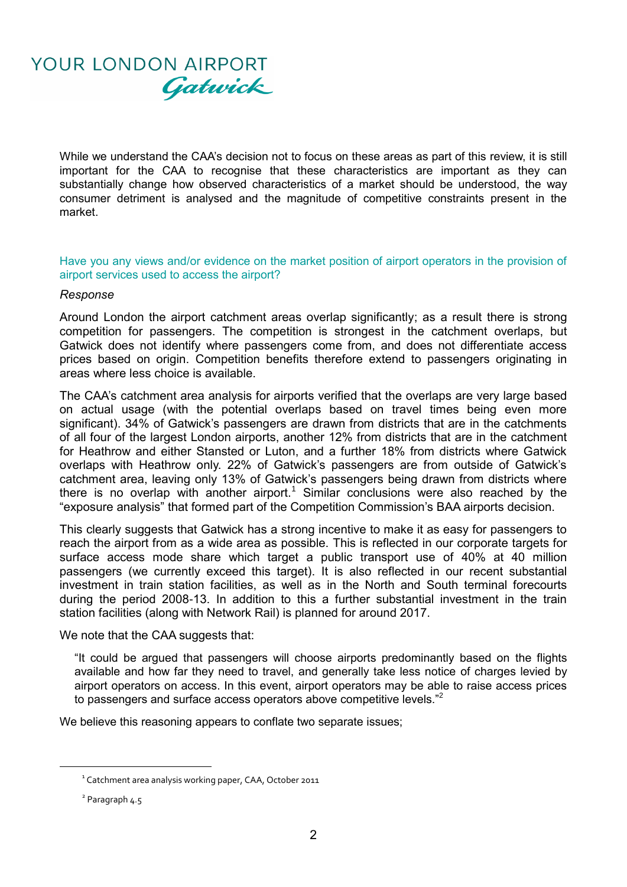

While we understand the CAA's decision not to focus on these areas as part of this review, it is still important for the CAA to recognise that these characteristics are important as they can substantially change how observed characteristics of a market should be understood, the way consumer detriment is analysed and the magnitude of competitive constraints present in the market.

Have you any views and/or evidence on the market position of airport operators in the provision of airport services used to access the airport?

#### *Response*

Around London the airport catchment areas overlap significantly; as a result there is strong competition for passengers. The competition is strongest in the catchment overlaps, but Gatwick does not identify where passengers come from, and does not differentiate access prices based on origin. Competition benefits therefore extend to passengers originating in areas where less choice is available.

The CAA's catchment area analysis for airports verified that the overlaps are very large based on actual usage (with the potential overlaps based on travel times being even more significant). 34% of Gatwick's passengers are drawn from districts that are in the catchments of all four of the largest London airports, another 12% from districts that are in the catchment for Heathrow and either Stansted or Luton, and a further 18% from districts where Gatwick overlaps with Heathrow only. 22% of Gatwick's passengers are from outside of Gatwick's catchment area, leaving only 13% of Gatwick's passengers being drawn from districts where there is no overlap with another airport.<sup>1</sup> Similar conclusions were also reached by the "exposure analysis" that formed part of the Competition Commission's BAA airports decision.

This clearly suggests that Gatwick has a strong incentive to make it as easy for passengers to reach the airport from as a wide area as possible. This is reflected in our corporate targets for surface access mode share which target a public transport use of 40% at 40 million passengers (we currently exceed this target). It is also reflected in our recent substantial investment in train station facilities, as well as in the North and South terminal forecourts during the period 2008-13. In addition to this a further substantial investment in the train station facilities (along with Network Rail) is planned for around 2017.

We note that the CAA suggests that:

"It could be argued that passengers will choose airports predominantly based on the flights available and how far they need to travel, and generally take less notice of charges levied by airport operators on access. In this event, airport operators may be able to raise access prices to passengers and surface access operators above competitive levels."<sup>2</sup>

We believe this reasoning appears to conflate two separate issues;

 $\overline{a}$ 

 $^1$  Catchment area analysis working paper, CAA, October 2011

<sup>&</sup>lt;sup>2</sup> Paragraph 4.5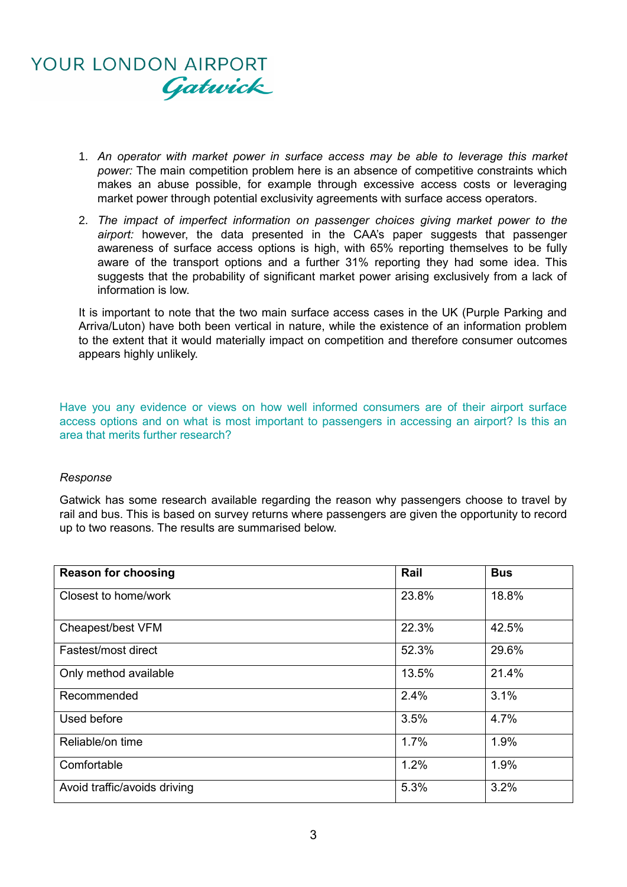

- 1. *An operator with market power in surface access may be able to leverage this market power:* The main competition problem here is an absence of competitive constraints which makes an abuse possible, for example through excessive access costs or leveraging market power through potential exclusivity agreements with surface access operators.
- 2. *The impact of imperfect information on passenger choices giving market power to the airport:* however, the data presented in the CAA's paper suggests that passenger awareness of surface access options is high, with 65% reporting themselves to be fully aware of the transport options and a further 31% reporting they had some idea. This suggests that the probability of significant market power arising exclusively from a lack of information is low.

It is important to note that the two main surface access cases in the UK (Purple Parking and Arriva/Luton) have both been vertical in nature, while the existence of an information problem to the extent that it would materially impact on competition and therefore consumer outcomes appears highly unlikely.

Have you any evidence or views on how well informed consumers are of their airport surface access options and on what is most important to passengers in accessing an airport? Is this an area that merits further research?

#### *Response*

Gatwick has some research available regarding the reason why passengers choose to travel by rail and bus. This is based on survey returns where passengers are given the opportunity to record up to two reasons. The results are summarised below.

| <b>Reason for choosing</b>   | Rail  | <b>Bus</b> |
|------------------------------|-------|------------|
| Closest to home/work         | 23.8% | 18.8%      |
| Cheapest/best VFM            | 22.3% | 42.5%      |
| Fastest/most direct          | 52.3% | 29.6%      |
| Only method available        | 13.5% | 21.4%      |
| Recommended                  | 2.4%  | 3.1%       |
| Used before                  | 3.5%  | 4.7%       |
| Reliable/on time             | 1.7%  | 1.9%       |
| Comfortable                  | 1.2%  | 1.9%       |
| Avoid traffic/avoids driving | 5.3%  | 3.2%       |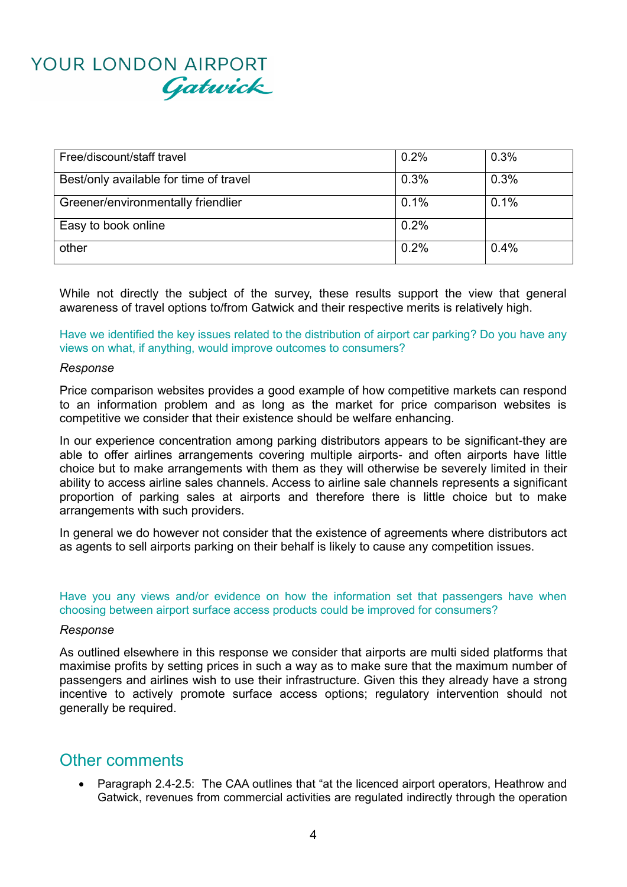# YOUR LONDON AIRPORT Gatwick

| Free/discount/staff travel             | 0.2% | 0.3% |
|----------------------------------------|------|------|
| Best/only available for time of travel | 0.3% | 0.3% |
| Greener/environmentally friendlier     | 0.1% | 0.1% |
| Easy to book online                    | 0.2% |      |
| other                                  | 0.2% | 0.4% |

While not directly the subject of the survey, these results support the view that general awareness of travel options to/from Gatwick and their respective merits is relatively high.

Have we identified the key issues related to the distribution of airport car parking? Do you have any views on what, if anything, would improve outcomes to consumers?

#### *Response*

Price comparison websites provides a good example of how competitive markets can respond to an information problem and as long as the market for price comparison websites is competitive we consider that their existence should be welfare enhancing.

In our experience concentration among parking distributors appears to be significant-they are able to offer airlines arrangements covering multiple airports- and often airports have little choice but to make arrangements with them as they will otherwise be severely limited in their ability to access airline sales channels. Access to airline sale channels represents a significant proportion of parking sales at airports and therefore there is little choice but to make arrangements with such providers.

In general we do however not consider that the existence of agreements where distributors act as agents to sell airports parking on their behalf is likely to cause any competition issues.

#### Have you any views and/or evidence on how the information set that passengers have when choosing between airport surface access products could be improved for consumers?

#### *Response*

As outlined elsewhere in this response we consider that airports are multi sided platforms that maximise profits by setting prices in such a way as to make sure that the maximum number of passengers and airlines wish to use their infrastructure. Given this they already have a strong incentive to actively promote surface access options; regulatory intervention should not generally be required.

### Other comments

 Paragraph 2.4-2.5: The CAA outlines that "at the licenced airport operators, Heathrow and Gatwick, revenues from commercial activities are regulated indirectly through the operation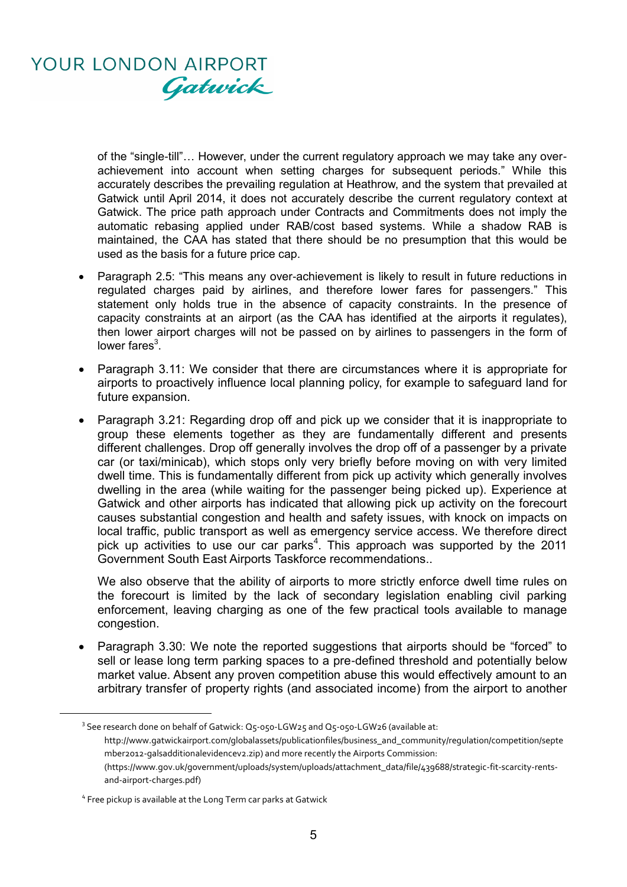

of the "single-till"… However, under the current regulatory approach we may take any overachievement into account when setting charges for subsequent periods." While this accurately describes the prevailing regulation at Heathrow, and the system that prevailed at Gatwick until April 2014, it does not accurately describe the current regulatory context at Gatwick. The price path approach under Contracts and Commitments does not imply the automatic rebasing applied under RAB/cost based systems. While a shadow RAB is maintained, the CAA has stated that there should be no presumption that this would be used as the basis for a future price cap.

- Paragraph 2.5: "This means any over-achievement is likely to result in future reductions in regulated charges paid by airlines, and therefore lower fares for passengers." This statement only holds true in the absence of capacity constraints. In the presence of capacity constraints at an airport (as the CAA has identified at the airports it regulates), then lower airport charges will not be passed on by airlines to passengers in the form of lower fares $3$ .
- Paragraph 3.11: We consider that there are circumstances where it is appropriate for airports to proactively influence local planning policy, for example to safeguard land for future expansion.
- Paragraph 3.21: Regarding drop off and pick up we consider that it is inappropriate to group these elements together as they are fundamentally different and presents different challenges. Drop off generally involves the drop off of a passenger by a private car (or taxi/minicab), which stops only very briefly before moving on with very limited dwell time. This is fundamentally different from pick up activity which generally involves dwelling in the area (while waiting for the passenger being picked up). Experience at Gatwick and other airports has indicated that allowing pick up activity on the forecourt causes substantial congestion and health and safety issues, with knock on impacts on local traffic, public transport as well as emergency service access. We therefore direct pick up activities to use our car parks<sup>4</sup>. This approach was supported by the 2011 Government South East Airports Taskforce recommendations..

We also observe that the ability of airports to more strictly enforce dwell time rules on the forecourt is limited by the lack of secondary legislation enabling civil parking enforcement, leaving charging as one of the few practical tools available to manage congestion.

 Paragraph 3.30: We note the reported suggestions that airports should be "forced" to sell or lease long term parking spaces to a pre-defined threshold and potentially below market value. Absent any proven competition abuse this would effectively amount to an arbitrary transfer of property rights (and associated income) from the airport to another

 $3$  See research done on behalf of Gatwick: Q5-050-LGW25 and Q5-050-LGW26 (available at: http://www.gatwickairport.com/globalassets/publicationfiles/business\_and\_community/regulation/competition/septe mber2012-galsadditionalevidencev2.zip) and more recently the Airports Commission: (https://www.gov.uk/government/uploads/system/uploads/attachment\_data/file/439688/strategic-fit-scarcity-rentsand-airport-charges.pdf)

**.** 

<sup>&</sup>lt;sup>4</sup> Free pickup is available at the Long Term car parks at Gatwick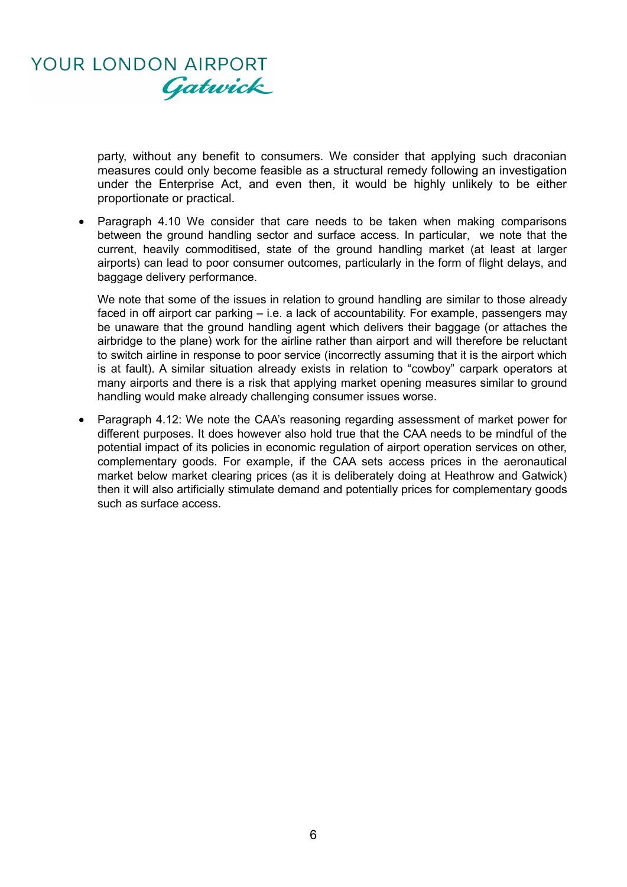

party, without any benefit to consumers. We consider that applying such draconian measures could only become feasible as a structural remedy following an investigation under the Enterprise Act, and even then, it would be highly unlikely to be either proportionate or practical.

• Paragraph 4.10 We consider that care needs to be taken when making comparisons between the ground handling sector and surface access. In particular, we note that the current, heavily commoditised, state of the ground handling market (at least at larger airports) can lead to poor consumer outcomes, particularly in the form of flight delays, and baggage delivery performance.

We note that some of the issues in relation to ground handling are similar to those already faced in off airport car parking – i.e. a lack of accountability. For example, passengers may be unaware that the ground handling agent which delivers their baggage (or attaches the airbridge to the plane) work for the airline rather than airport and will therefore be reluctant to switch airline in response to poor service (incorrectly assuming that it is the airport which is at fault). A similar situation already exists in relation to "cowboy" carpark operators at many airports and there is a risk that applying market opening measures similar to ground handling would make already challenging consumer issues worse.

• Paragraph 4.12: We note the CAA's reasoning regarding assessment of market power for different purposes. It does however also hold true that the CAA needs to be mindful of the potential impact of its policies in economic regulation of airport operation services on other, complementary goods. For example, if the CAA sets access prices in the aeronautical market below market clearing prices (as it is deliberately doing at Heathrow and Gatwick) then it will also artificially stimulate demand and potentially prices for complementary goods such as surface access.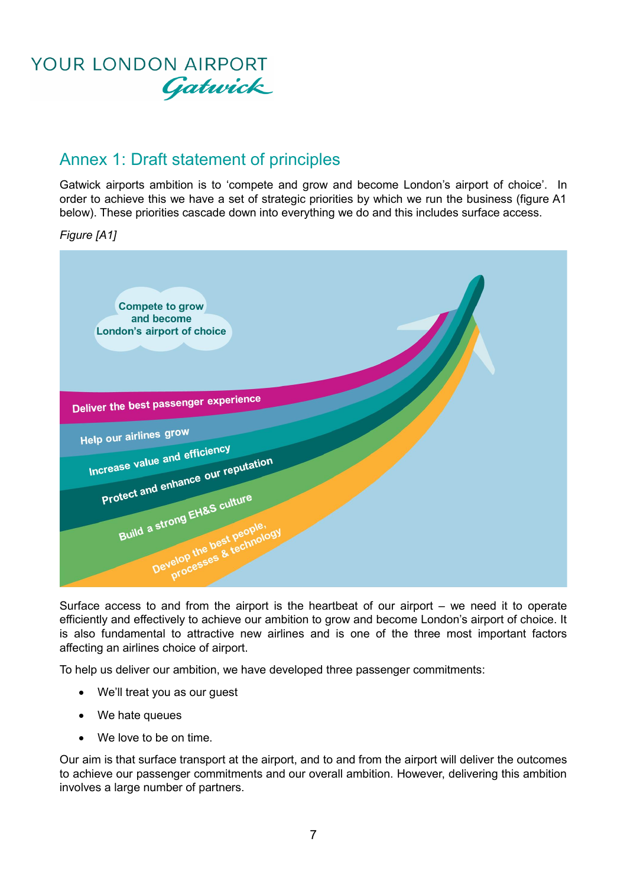

### Annex 1: Draft statement of principles

Gatwick airports ambition is to 'compete and grow and become London's airport of choice'. In order to achieve this we have a set of strategic priorities by which we run the business (figure A1 below). These priorities cascade down into everything we do and this includes surface access.

*Figure [A1]*



Surface access to and from the airport is the heartbeat of our airport – we need it to operate efficiently and effectively to achieve our ambition to grow and become London's airport of choice. It is also fundamental to attractive new airlines and is one of the three most important factors affecting an airlines choice of airport.

To help us deliver our ambition, we have developed three passenger commitments:

- We'll treat you as our guest
- We hate queues
- We love to be on time.

Our aim is that surface transport at the airport, and to and from the airport will deliver the outcomes to achieve our passenger commitments and our overall ambition. However, delivering this ambition involves a large number of partners.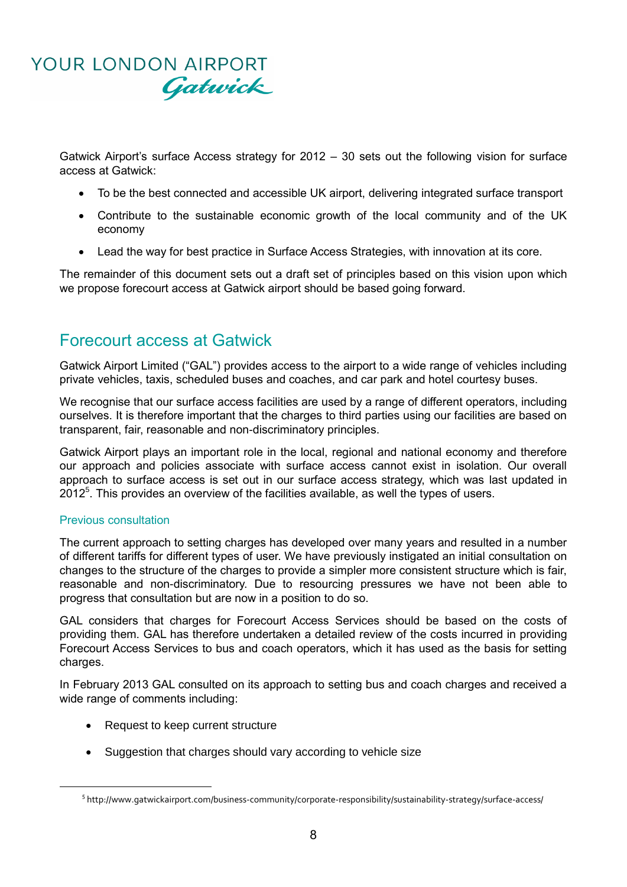

Gatwick Airport's surface Access strategy for 2012 – 30 sets out the following vision for surface access at Gatwick:

- To be the best connected and accessible UK airport, delivering integrated surface transport
- Contribute to the sustainable economic growth of the local community and of the UK economy
- Lead the way for best practice in Surface Access Strategies, with innovation at its core.

The remainder of this document sets out a draft set of principles based on this vision upon which we propose forecourt access at Gatwick airport should be based going forward.

### Forecourt access at Gatwick

Gatwick Airport Limited ("GAL") provides access to the airport to a wide range of vehicles including private vehicles, taxis, scheduled buses and coaches, and car park and hotel courtesy buses.

We recognise that our surface access facilities are used by a range of different operators, including ourselves. It is therefore important that the charges to third parties using our facilities are based on transparent, fair, reasonable and non-discriminatory principles.

Gatwick Airport plays an important role in the local, regional and national economy and therefore our approach and policies associate with surface access cannot exist in isolation. Our overall approach to surface access is set out in our surface access strategy, which was last updated in  $2012<sup>5</sup>$ . This provides an overview of the facilities available, as well the types of users.

#### Previous consultation

**.** 

The current approach to setting charges has developed over many years and resulted in a number of different tariffs for different types of user. We have previously instigated an initial consultation on changes to the structure of the charges to provide a simpler more consistent structure which is fair, reasonable and non-discriminatory. Due to resourcing pressures we have not been able to progress that consultation but are now in a position to do so.

GAL considers that charges for Forecourt Access Services should be based on the costs of providing them. GAL has therefore undertaken a detailed review of the costs incurred in providing Forecourt Access Services to bus and coach operators, which it has used as the basis for setting charges.

In February 2013 GAL consulted on its approach to setting bus and coach charges and received a wide range of comments including:

- Request to keep current structure
- Suggestion that charges should vary according to vehicle size

<sup>&</sup>lt;sup>5</sup> http://www.gatwickairport.com/business-community/corporate-responsibility/sustainability-strategy/surface-access/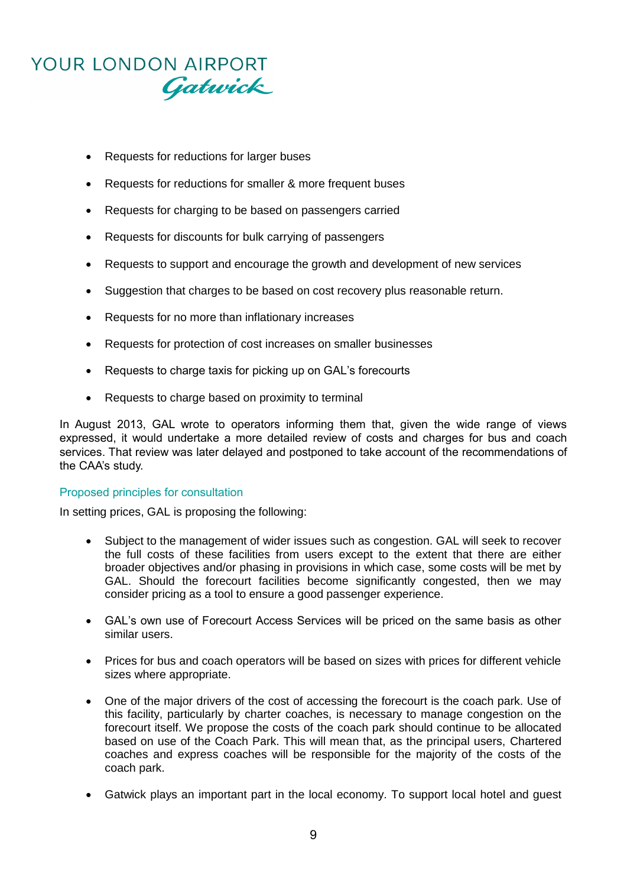# YOUR LONDON AIRPORT Gatwick

- Requests for reductions for larger buses
- Requests for reductions for smaller & more frequent buses
- Requests for charging to be based on passengers carried
- Requests for discounts for bulk carrying of passengers
- Requests to support and encourage the growth and development of new services
- Suggestion that charges to be based on cost recovery plus reasonable return.
- Requests for no more than inflationary increases
- Requests for protection of cost increases on smaller businesses
- Requests to charge taxis for picking up on GAL's forecourts
- Requests to charge based on proximity to terminal

In August 2013, GAL wrote to operators informing them that, given the wide range of views expressed, it would undertake a more detailed review of costs and charges for bus and coach services. That review was later delayed and postponed to take account of the recommendations of the CAA's study.

#### Proposed principles for consultation

In setting prices, GAL is proposing the following:

- Subject to the management of wider issues such as congestion. GAL will seek to recover the full costs of these facilities from users except to the extent that there are either broader objectives and/or phasing in provisions in which case, some costs will be met by GAL. Should the forecourt facilities become significantly congested, then we may consider pricing as a tool to ensure a good passenger experience.
- GAL's own use of Forecourt Access Services will be priced on the same basis as other similar users.
- Prices for bus and coach operators will be based on sizes with prices for different vehicle sizes where appropriate.
- One of the major drivers of the cost of accessing the forecourt is the coach park. Use of this facility, particularly by charter coaches, is necessary to manage congestion on the forecourt itself. We propose the costs of the coach park should continue to be allocated based on use of the Coach Park. This will mean that, as the principal users, Chartered coaches and express coaches will be responsible for the majority of the costs of the coach park.
- Gatwick plays an important part in the local economy. To support local hotel and guest